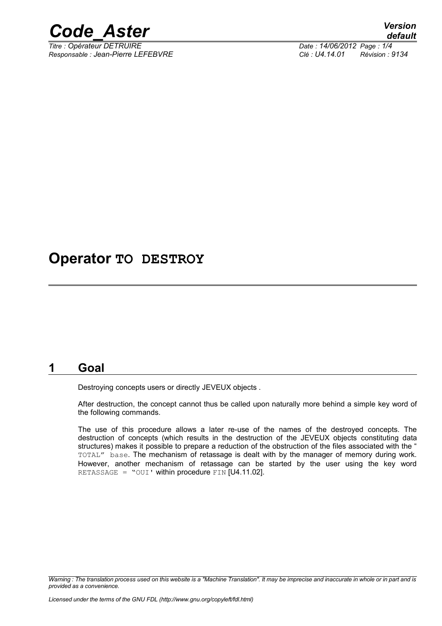

*Titre : Opérateur DETRUIRE Date : 14/06/2012 Page : 1/4 Responsable : Jean-Pierre LEFEBVRE Clé : U4.14.01 Révision : 9134*

# **Operator TO DESTROY**

#### **1 Goal**

Destroying concepts users or directly JEVEUX objects .

After destruction, the concept cannot thus be called upon naturally more behind a simple key word of the following commands.

The use of this procedure allows a later re-use of the names of the destroyed concepts. The destruction of concepts (which results in the destruction of the JEVEUX objects constituting data structures) makes it possible to prepare a reduction of the obstruction of the files associated with the " TOTAL" base. The mechanism of retassage is dealt with by the manager of memory during work. However, another mechanism of retassage can be started by the user using the key word RETASSAGE = "OUI' within procedure FIN  $[*U4.11.02*]$ .

*Warning : The translation process used on this website is a "Machine Translation". It may be imprecise and inaccurate in whole or in part and is provided as a convenience.*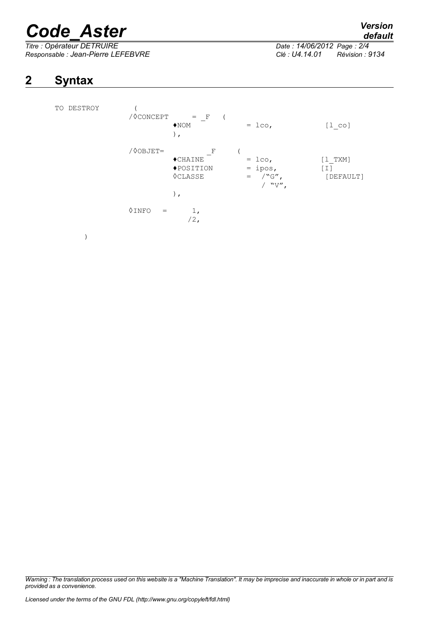# *Code\_Aster Version*

*Titre : Opérateur DETRUIRE Date : 14/06/2012 Page : 2/4 Responsable : Jean-Pierre LEFEBVRE Clé : U4.14.01 Révision : 9134*

# *default*

## **2 Syntax**

| DESTROY<br>TO | / OCONCEPT   | $\mathbf{F}$<br>$=$<br>$\bigstar$ NOM<br>$)$ ,                      | $=$ 1co,                                                 | $[1 \text{ co}]$                |
|---------------|--------------|---------------------------------------------------------------------|----------------------------------------------------------|---------------------------------|
|               | /00BJET=     | F<br>$\blacklozenge$ CHAINE<br>◆POSITION<br><b>OCLASSE</b><br>$)$ , | $=$ 1co,<br>$=$ ipos,<br>$/$ "G",<br>$\,=\,$<br>/ $"V",$ | $[1$ TXM]<br>$[1]$<br>[DEFAULT] |
|               | 0INFO<br>$=$ | 1,<br>$/2$ ,                                                        |                                                          |                                 |
|               |              |                                                                     |                                                          |                                 |

*Warning : The translation process used on this website is a "Machine Translation". It may be imprecise and inaccurate in whole or in part and is provided as a convenience.*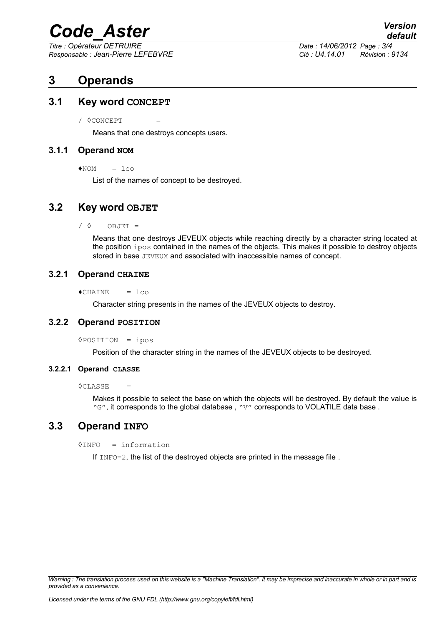# *Code\_Aster Version*

*Titre : Opérateur DETRUIRE Date : 14/06/2012 Page : 3/4 Responsable : Jean-Pierre LEFEBVRE Clé : U4.14.01 Révision : 9134*

### **3 Operands**

#### **3.1 Key word CONCEPT**

 $\sqrt{8}$  CONCEPT  $=$ 

Means that one destroys concepts users.

#### **3.1.1 Operand NOM**

 $NOM = loco$ 

List of the names of concept to be destroyed.

#### **3.2 Key word OBJET**

 $\angle$   $\Diamond$  OBJET =

Means that one destroys JEVEUX objects while reaching directly by a character string located at the position ipos contained in the names of the objects. This makes it possible to destroy objects stored in base JEVEUX and associated with inaccessible names of concept.

#### **3.2.1 Operand CHAINE**

 $\triangle$ CHAINE =  $lco$ 

Character string presents in the names of the JEVEUX objects to destroy.

#### **3.2.2 Operand POSITION**

◊POSITION = ipos

Position of the character string in the names of the JEVEUX objects to be destroyed.

#### **3.2.2.1 Operand CLASSE**

 $\Diamond$ CLASSE =

Makes it possible to select the base on which the objects will be destroyed. By default the value is "G", it corresponds to the global database, "V" corresponds to VOLATILE data base.

#### **3.3 Operand INFO**

◊INFO = information

If INFO=2, the list of the destroyed objects are printed in the message file .